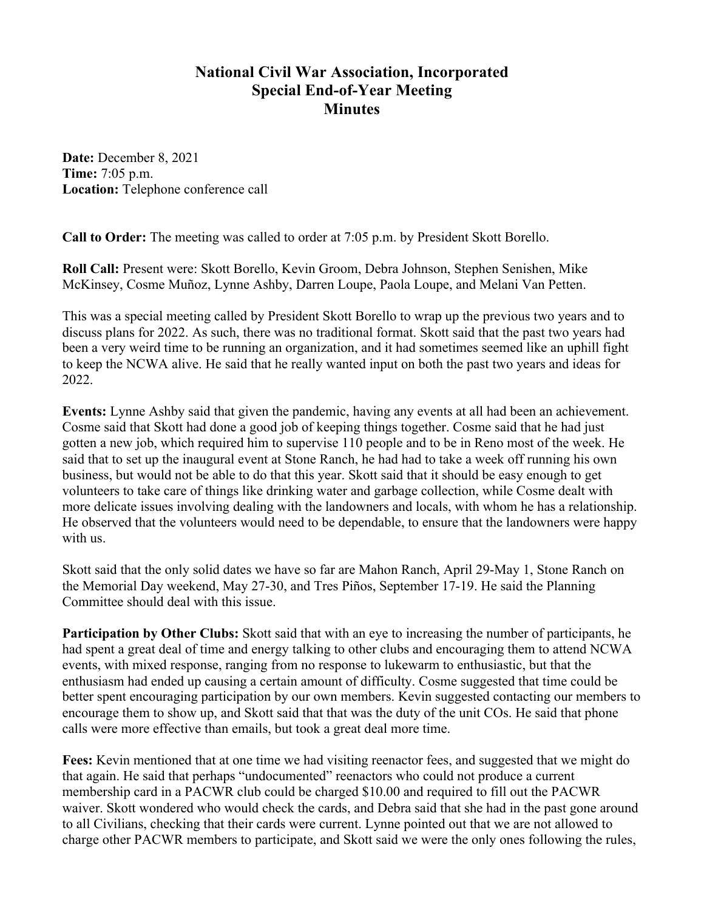## **National Civil War Association, Incorporated Special End-of-Year Meeting Minutes**

**Date:** December 8, 2021 **Time:** 7:05 p.m. **Location:** Telephone conference call

**Call to Order:** The meeting was called to order at 7:05 p.m. by President Skott Borello.

**Roll Call:** Present were: Skott Borello, Kevin Groom, Debra Johnson, Stephen Senishen, Mike McKinsey, Cosme Muñoz, Lynne Ashby, Darren Loupe, Paola Loupe, and Melani Van Petten.

This was a special meeting called by President Skott Borello to wrap up the previous two years and to discuss plans for 2022. As such, there was no traditional format. Skott said that the past two years had been a very weird time to be running an organization, and it had sometimes seemed like an uphill fight to keep the NCWA alive. He said that he really wanted input on both the past two years and ideas for 2022.

**Events:** Lynne Ashby said that given the pandemic, having any events at all had been an achievement. Cosme said that Skott had done a good job of keeping things together. Cosme said that he had just gotten a new job, which required him to supervise 110 people and to be in Reno most of the week. He said that to set up the inaugural event at Stone Ranch, he had had to take a week off running his own business, but would not be able to do that this year. Skott said that it should be easy enough to get volunteers to take care of things like drinking water and garbage collection, while Cosme dealt with more delicate issues involving dealing with the landowners and locals, with whom he has a relationship. He observed that the volunteers would need to be dependable, to ensure that the landowners were happy with us.

Skott said that the only solid dates we have so far are Mahon Ranch, April 29-May 1, Stone Ranch on the Memorial Day weekend, May 27-30, and Tres Piños, September 17-19. He said the Planning Committee should deal with this issue.

**Participation by Other Clubs:** Skott said that with an eye to increasing the number of participants, he had spent a great deal of time and energy talking to other clubs and encouraging them to attend NCWA events, with mixed response, ranging from no response to lukewarm to enthusiastic, but that the enthusiasm had ended up causing a certain amount of difficulty. Cosme suggested that time could be better spent encouraging participation by our own members. Kevin suggested contacting our members to encourage them to show up, and Skott said that that was the duty of the unit COs. He said that phone calls were more effective than emails, but took a great deal more time.

**Fees:** Kevin mentioned that at one time we had visiting reenactor fees, and suggested that we might do that again. He said that perhaps "undocumented" reenactors who could not produce a current membership card in a PACWR club could be charged \$10.00 and required to fill out the PACWR waiver. Skott wondered who would check the cards, and Debra said that she had in the past gone around to all Civilians, checking that their cards were current. Lynne pointed out that we are not allowed to charge other PACWR members to participate, and Skott said we were the only ones following the rules,